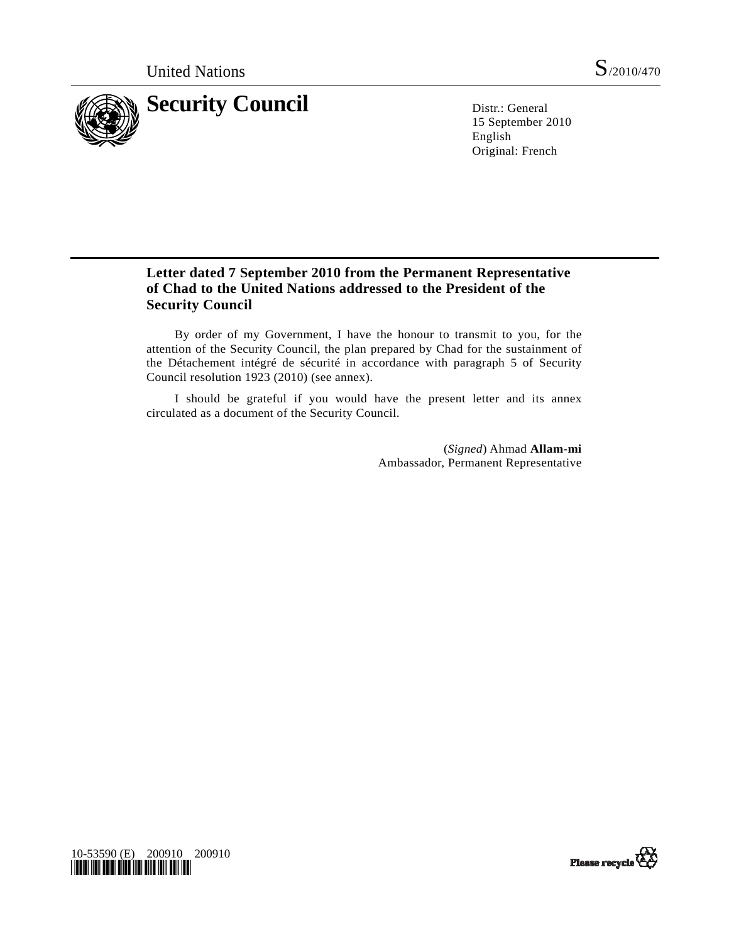

15 September 2010 English Original: French

# **Letter dated 7 September 2010 from the Permanent Representative of Chad to the United Nations addressed to the President of the Security Council**

 By order of my Government, I have the honour to transmit to you, for the attention of the Security Council, the plan prepared by Chad for the sustainment of the Détachement intégré de sécurité in accordance with paragraph 5 of Security Council resolution 1923 (2010) (see annex).

 I should be grateful if you would have the present letter and its annex circulated as a document of the Security Council.

> (*Signed*) Ahmad **Allam-mi** Ambassador, Permanent Representative



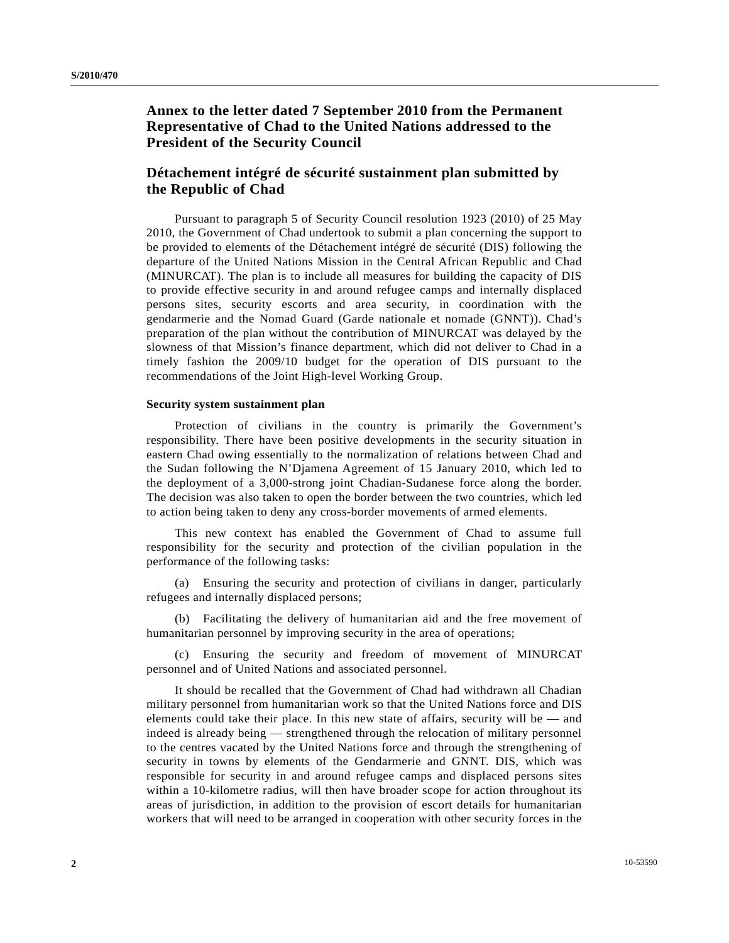## **Annex to the letter dated 7 September 2010 from the Permanent Representative of Chad to the United Nations addressed to the President of the Security Council**

### **Détachement intégré de sécurité sustainment plan submitted by the Republic of Chad**

 Pursuant to paragraph 5 of Security Council resolution 1923 (2010) of 25 May 2010, the Government of Chad undertook to submit a plan concerning the support to be provided to elements of the Détachement intégré de sécurité (DIS) following the departure of the United Nations Mission in the Central African Republic and Chad (MINURCAT). The plan is to include all measures for building the capacity of DIS to provide effective security in and around refugee camps and internally displaced persons sites, security escorts and area security, in coordination with the gendarmerie and the Nomad Guard (Garde nationale et nomade (GNNT)). Chad's preparation of the plan without the contribution of MINURCAT was delayed by the slowness of that Mission's finance department, which did not deliver to Chad in a timely fashion the 2009/10 budget for the operation of DIS pursuant to the recommendations of the Joint High-level Working Group.

#### **Security system sustainment plan**

 Protection of civilians in the country is primarily the Government's responsibility. There have been positive developments in the security situation in eastern Chad owing essentially to the normalization of relations between Chad and the Sudan following the N'Djamena Agreement of 15 January 2010, which led to the deployment of a 3,000-strong joint Chadian-Sudanese force along the border. The decision was also taken to open the border between the two countries, which led to action being taken to deny any cross-border movements of armed elements.

 This new context has enabled the Government of Chad to assume full responsibility for the security and protection of the civilian population in the performance of the following tasks:

 (a) Ensuring the security and protection of civilians in danger, particularly refugees and internally displaced persons;

 (b) Facilitating the delivery of humanitarian aid and the free movement of humanitarian personnel by improving security in the area of operations;

 (c) Ensuring the security and freedom of movement of MINURCAT personnel and of United Nations and associated personnel.

 It should be recalled that the Government of Chad had withdrawn all Chadian military personnel from humanitarian work so that the United Nations force and DIS elements could take their place. In this new state of affairs, security will be — and indeed is already being — strengthened through the relocation of military personnel to the centres vacated by the United Nations force and through the strengthening of security in towns by elements of the Gendarmerie and GNNT. DIS, which was responsible for security in and around refugee camps and displaced persons sites within a 10-kilometre radius, will then have broader scope for action throughout its areas of jurisdiction, in addition to the provision of escort details for humanitarian workers that will need to be arranged in cooperation with other security forces in the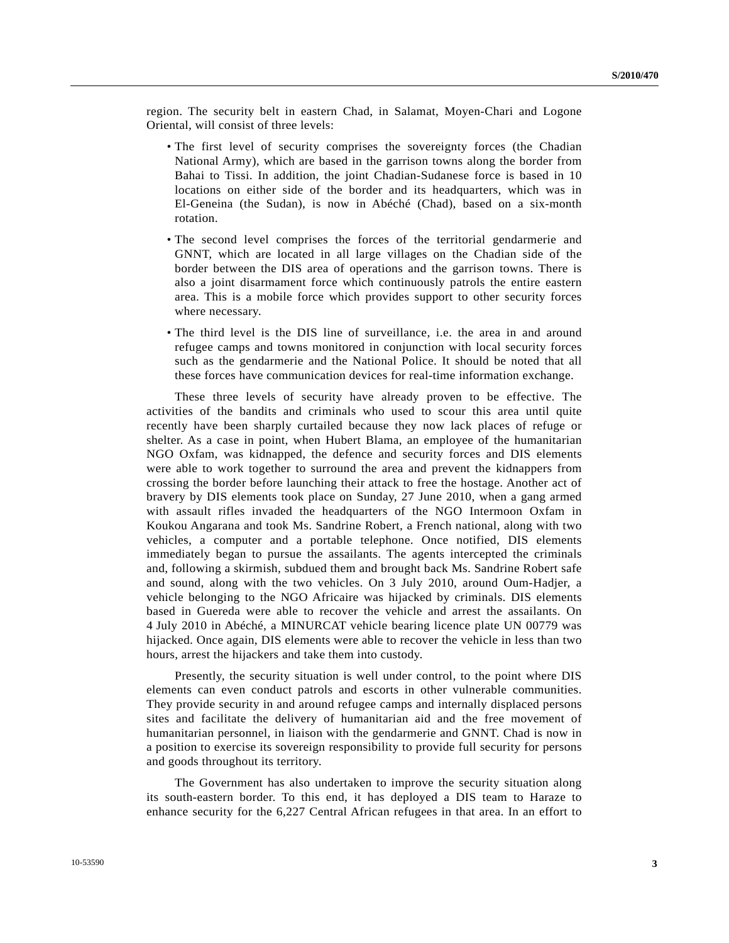region. The security belt in eastern Chad, in Salamat, Moyen-Chari and Logone Oriental, will consist of three levels:

- The first level of security comprises the sovereignty forces (the Chadian National Army), which are based in the garrison towns along the border from Bahai to Tissi. In addition, the joint Chadian-Sudanese force is based in 10 locations on either side of the border and its headquarters, which was in El-Geneina (the Sudan), is now in Abéché (Chad), based on a six-month rotation.
- The second level comprises the forces of the territorial gendarmerie and GNNT, which are located in all large villages on the Chadian side of the border between the DIS area of operations and the garrison towns. There is also a joint disarmament force which continuously patrols the entire eastern area. This is a mobile force which provides support to other security forces where necessary.
- The third level is the DIS line of surveillance, i.e. the area in and around refugee camps and towns monitored in conjunction with local security forces such as the gendarmerie and the National Police. It should be noted that all these forces have communication devices for real-time information exchange.

 These three levels of security have already proven to be effective. The activities of the bandits and criminals who used to scour this area until quite recently have been sharply curtailed because they now lack places of refuge or shelter. As a case in point, when Hubert Blama, an employee of the humanitarian NGO Oxfam, was kidnapped, the defence and security forces and DIS elements were able to work together to surround the area and prevent the kidnappers from crossing the border before launching their attack to free the hostage. Another act of bravery by DIS elements took place on Sunday, 27 June 2010, when a gang armed with assault rifles invaded the headquarters of the NGO Intermoon Oxfam in Koukou Angarana and took Ms. Sandrine Robert, a French national, along with two vehicles, a computer and a portable telephone. Once notified, DIS elements immediately began to pursue the assailants. The agents intercepted the criminals and, following a skirmish, subdued them and brought back Ms. Sandrine Robert safe and sound, along with the two vehicles. On 3 July 2010, around Oum-Hadjer, a vehicle belonging to the NGO Africaire was hijacked by criminals. DIS elements based in Guereda were able to recover the vehicle and arrest the assailants. On 4 July 2010 in Abéché, a MINURCAT vehicle bearing licence plate UN 00779 was hijacked. Once again, DIS elements were able to recover the vehicle in less than two hours, arrest the hijackers and take them into custody.

 Presently, the security situation is well under control, to the point where DIS elements can even conduct patrols and escorts in other vulnerable communities. They provide security in and around refugee camps and internally displaced persons sites and facilitate the delivery of humanitarian aid and the free movement of humanitarian personnel, in liaison with the gendarmerie and GNNT. Chad is now in a position to exercise its sovereign responsibility to provide full security for persons and goods throughout its territory.

 The Government has also undertaken to improve the security situation along its south-eastern border. To this end, it has deployed a DIS team to Haraze to enhance security for the 6,227 Central African refugees in that area. In an effort to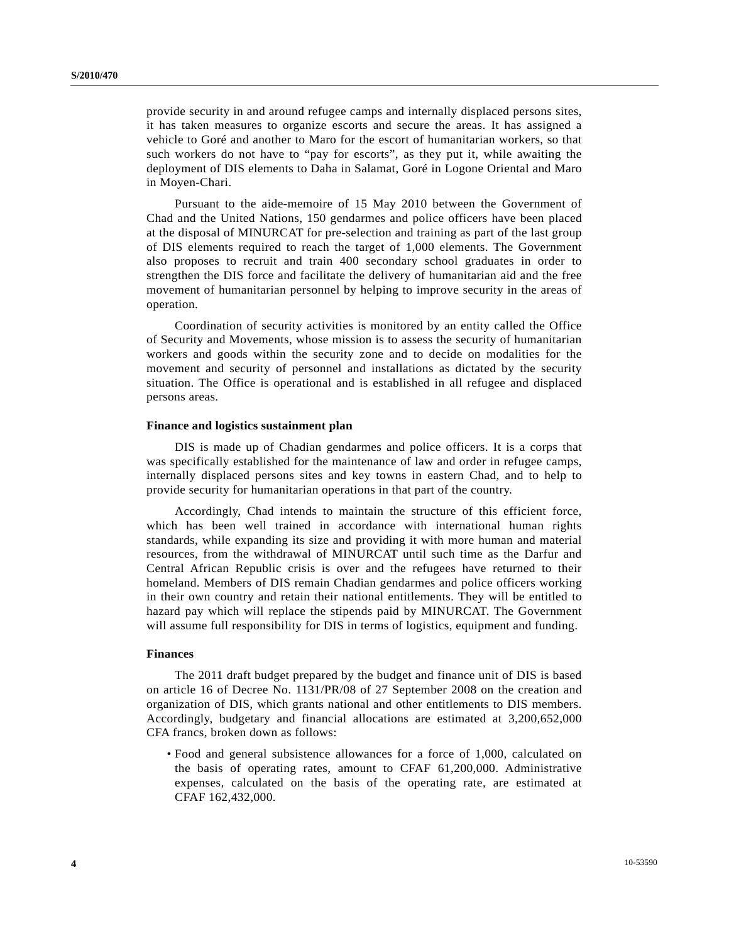provide security in and around refugee camps and internally displaced persons sites, it has taken measures to organize escorts and secure the areas. It has assigned a vehicle to Goré and another to Maro for the escort of humanitarian workers, so that such workers do not have to "pay for escorts", as they put it, while awaiting the deployment of DIS elements to Daha in Salamat, Goré in Logone Oriental and Maro in Moyen-Chari.

 Pursuant to the aide-memoire of 15 May 2010 between the Government of Chad and the United Nations, 150 gendarmes and police officers have been placed at the disposal of MINURCAT for pre-selection and training as part of the last group of DIS elements required to reach the target of 1,000 elements. The Government also proposes to recruit and train 400 secondary school graduates in order to strengthen the DIS force and facilitate the delivery of humanitarian aid and the free movement of humanitarian personnel by helping to improve security in the areas of operation.

 Coordination of security activities is monitored by an entity called the Office of Security and Movements, whose mission is to assess the security of humanitarian workers and goods within the security zone and to decide on modalities for the movement and security of personnel and installations as dictated by the security situation. The Office is operational and is established in all refugee and displaced persons areas.

#### **Finance and logistics sustainment plan**

 DIS is made up of Chadian gendarmes and police officers. It is a corps that was specifically established for the maintenance of law and order in refugee camps, internally displaced persons sites and key towns in eastern Chad, and to help to provide security for humanitarian operations in that part of the country.

 Accordingly, Chad intends to maintain the structure of this efficient force, which has been well trained in accordance with international human rights standards, while expanding its size and providing it with more human and material resources, from the withdrawal of MINURCAT until such time as the Darfur and Central African Republic crisis is over and the refugees have returned to their homeland. Members of DIS remain Chadian gendarmes and police officers working in their own country and retain their national entitlements. They will be entitled to hazard pay which will replace the stipends paid by MINURCAT. The Government will assume full responsibility for DIS in terms of logistics, equipment and funding.

### **Finances**

 The 2011 draft budget prepared by the budget and finance unit of DIS is based on article 16 of Decree No. 1131/PR/08 of 27 September 2008 on the creation and organization of DIS, which grants national and other entitlements to DIS members. Accordingly, budgetary and financial allocations are estimated at 3,200,652,000 CFA francs, broken down as follows:

 • Food and general subsistence allowances for a force of 1,000, calculated on the basis of operating rates, amount to CFAF 61,200,000. Administrative expenses, calculated on the basis of the operating rate, are estimated at CFAF 162,432,000.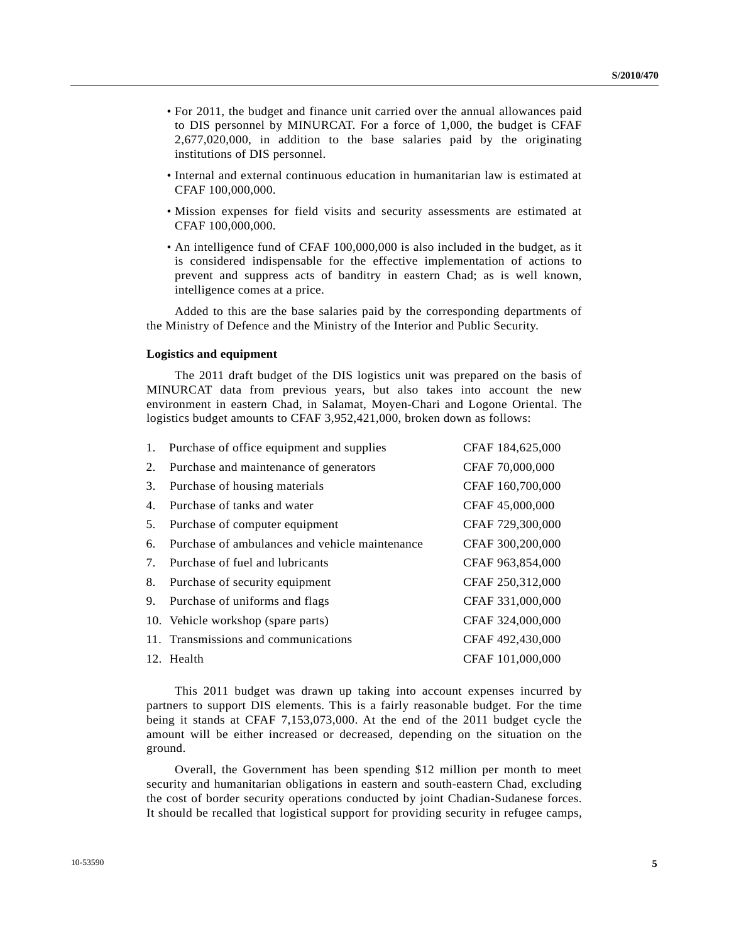- For 2011, the budget and finance unit carried over the annual allowances paid to DIS personnel by MINURCAT. For a force of 1,000, the budget is CFAF 2,677,020,000, in addition to the base salaries paid by the originating institutions of DIS personnel.
- Internal and external continuous education in humanitarian law is estimated at CFAF 100,000,000.
- Mission expenses for field visits and security assessments are estimated at CFAF 100,000,000.
- An intelligence fund of CFAF 100,000,000 is also included in the budget, as it is considered indispensable for the effective implementation of actions to prevent and suppress acts of banditry in eastern Chad; as is well known, intelligence comes at a price.

 Added to this are the base salaries paid by the corresponding departments of the Ministry of Defence and the Ministry of the Interior and Public Security.

#### **Logistics and equipment**

 The 2011 draft budget of the DIS logistics unit was prepared on the basis of MINURCAT data from previous years, but also takes into account the new environment in eastern Chad, in Salamat, Moyen-Chari and Logone Oriental. The logistics budget amounts to CFAF 3,952,421,000, broken down as follows:

|    | 1. Purchase of office equipment and supplies   | CFAF 184,625,000 |
|----|------------------------------------------------|------------------|
| 2. | Purchase and maintenance of generators         | CFAF 70,000,000  |
| 3. | Purchase of housing materials                  | CFAF 160,700,000 |
| 4. | Purchase of tanks and water                    | CFAF 45,000,000  |
| 5. | Purchase of computer equipment                 | CFAF 729,300,000 |
| 6. | Purchase of ambulances and vehicle maintenance | CFAF 300,200,000 |
| 7. | Purchase of fuel and lubricants                | CFAF 963,854,000 |
| 8. | Purchase of security equipment                 | CFAF 250,312,000 |
|    | 9. Purchase of uniforms and flags              | CFAF 331,000,000 |
|    | 10. Vehicle workshop (spare parts)             | CFAF 324,000,000 |
|    | 11. Transmissions and communications           | CFAF 492,430,000 |
|    | 12. Health                                     | CFAF 101,000,000 |

 This 2011 budget was drawn up taking into account expenses incurred by partners to support DIS elements. This is a fairly reasonable budget. For the time being it stands at CFAF 7,153,073,000. At the end of the 2011 budget cycle the amount will be either increased or decreased, depending on the situation on the ground.

 Overall, the Government has been spending \$12 million per month to meet security and humanitarian obligations in eastern and south-eastern Chad, excluding the cost of border security operations conducted by joint Chadian-Sudanese forces. It should be recalled that logistical support for providing security in refugee camps,